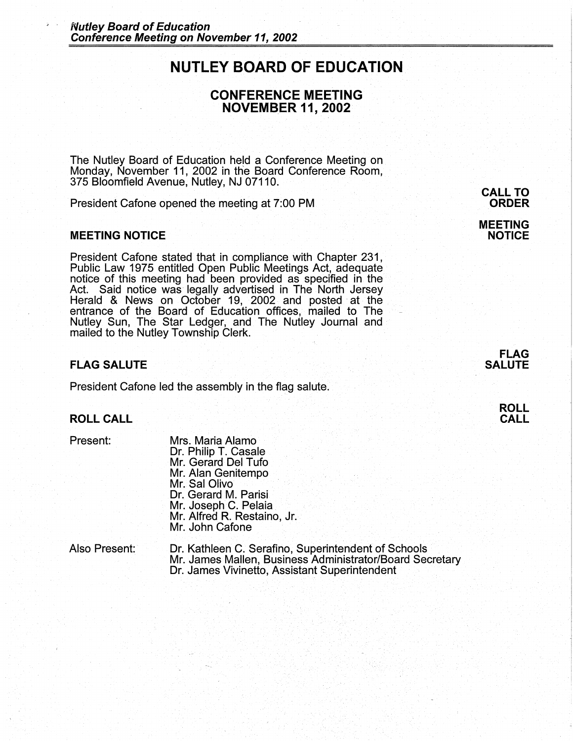# **NUTLEY BOARD OF EDUCATION**

# **CONFERENCE MEETING NOVEMBER 11, 2002**

The Nutley Board of Education held a Conference Meeting on Monday, November 11, 2002 in the Board Conference Room, 375 Bloomfield Avenue, Nutley, NJ 07110.

President Cafone opened the meeting at 7:00 PM

#### **MEETING NOTICE**

President Cafone stated that in compliance with Chapter 231, Public Law 1975 entitled Open Public Meetings Act, adequate notice of this meeting had been provided as specified in the Act. Said notice was legally advertised in The North Jersey Herald & News on October 19, 2002 and posted at the entrance of the Board of Education offices, mailed to The Nutley Sun, The Star Ledger, and The Nutley Journal and mailed to the Nutley Township Clerk.

### **FLAG SALUTE**

President Cafone led the assembly in the flag salute.

### **ROLL CALL**

Present:

Mrs; Maria Alamo Dr. Philip T. Casale Mr. Gerard Del Tufo Mr. Alan Genitempo Mr. Sal Olivo Dr. Gerard M. Parisi Mr. Joseph C. Pelaia Mr. Alfred R. Restaino, Jr. Mr. John Cafone

| Also Present: | Dr. Kathleen C. Serafino, Superintendent of Schools      |
|---------------|----------------------------------------------------------|
|               | Mr. James Mallen, Business Administrator/Board Secretary |
|               | Dr. James Vivinetto, Assistant Superintendent            |

# **CALL TO ORDER**

#### **MEETING NOTICE**



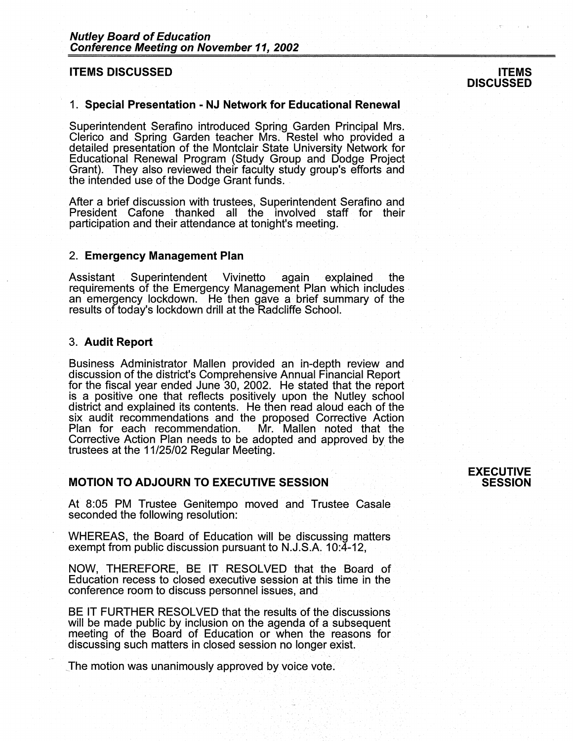#### **ITEMS DISCUSSED**

# **ITEMS DISCUSSED**

#### 1. **Special Presentation** - **NJ Network for Educational Renewal** .

Superintendent Serafino introduced Spring Garden Principal Mrs. Clerico and Spring Garden teacher Mrs. Restel who provided a detailed presentation of the Montclair State University Network for Educational Renewal Program (Study Group and Dodge Project Grant). They also reviewed their faculty study group's efforts and the intended use of the Dodge Grant funds.

After a brief discussion with trustees, Superintendent Serafino and President Cafone thanked all the involved staff for their participation and their attendance at tonight's meeting.

#### 2. **Emergency Management Plan**

Assistant Superintendent Vivinetto again explained the requirements of the Emergency Management Plan which includes an emergency lockdown. He then gave a brief summary of the results of today's lockdown drill at the Radcliffe School.

### 3. **Audit Report**

Business Administrator Mallen provided an in-depth review and discussion of the district's Comprehensive Annual Financial Report for the fiscal year ended June 30, 2002. He stated that the report is a positive one that reflects positively upon the Nutley school district and explained its contents. He then read aloud each of the six audit recommendations and the proposed Corrective Action<br>Plan for each recommendation. Mr. Mallen noted that the Plan for each recommendation. Corrective Action Plan needs to be adopted and approved by the trustees at the 11/25/02 Regular Meeting.

#### **MOTION TO ADJOURN TO EXECUTIVE SESSION**

At 8:05 PM Trustee Genitempo moved and Trustee Casale seconded the following resolution:

WHEREAS, the Board of Education will be discussing matters exempt from public discussion pursuant to N.J.S.A. 10:4-12,

NOW, THEREFORE, BE IT RESOLVED that the Board of Education recess to closed executive session at this time in the conference room to discuss personnel issues, and

BE IT FURTHER RESOLVED that the results of the discussions will be made public by inclusion on the agenda of a subsequent meeting of the Board of. Education or when the reasons for discussing such matters in closed session no longer exist.

The motion was unanimously approved by voice vote.

### **EXECUTIVE SESSION**